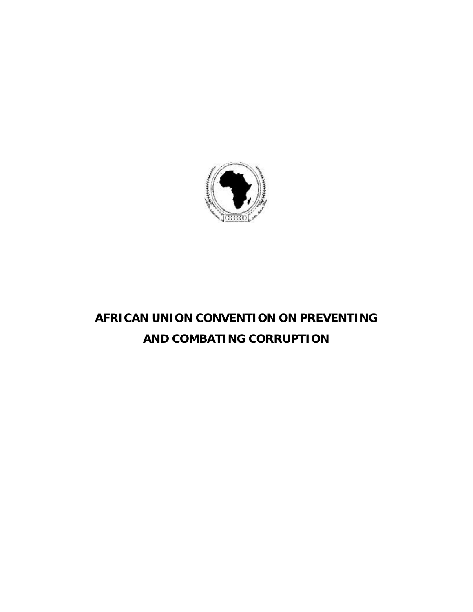

# **AFRICAN UNION CONVENTION ON PREVENTING AND COMBATING CORRUPTION**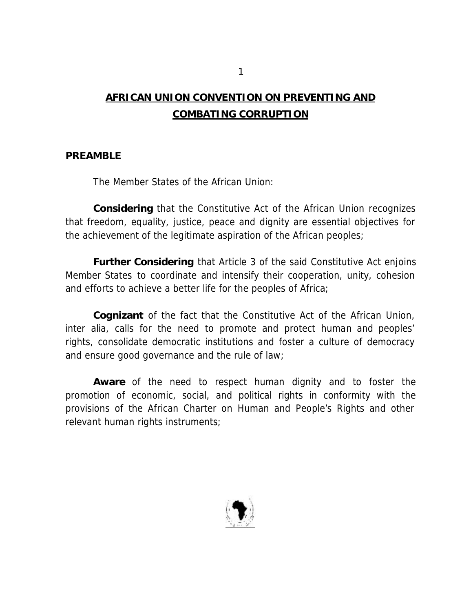# **AFRICAN UNION CONVENTION ON PREVENTING AND COMBATING CORRUPTION**

#### **PREAMBLE**

The Member States of the African Union:

**Considering** that the Constitutive Act of the African Union recognizes that freedom, equality, justice, peace and dignity are essential objectives for the achievement of the legitimate aspiration of the African peoples;

**Further Considering** that Article 3 of the said Constitutive Act enjoins Member States to coordinate and intensify their cooperation, unity, cohesion and efforts to achieve a better life for the peoples of Africa;

**Cognizant** of the fact that the Constitutive Act of the African Union, *inter alia*, calls for the need to promote and protect human and peoples' rights, consolidate democratic institutions and foster a culture of democracy and ensure good governance and the rule of law;

**Aware** of the need to respect human dignity and to foster the promotion of economic, social, and political rights in conformity with the provisions of the African Charter on Human and People's Rights and other relevant human rights instruments;

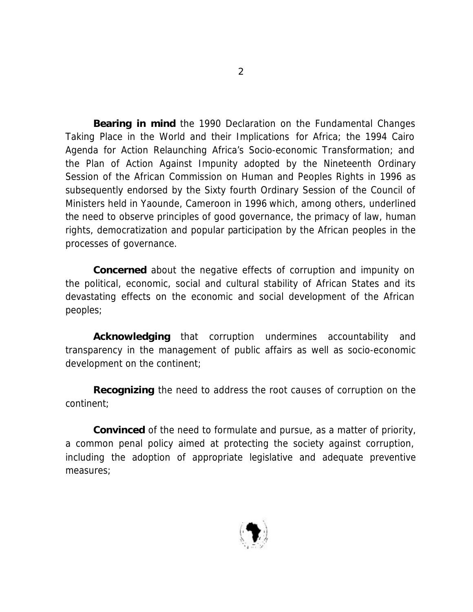**Bearing in mind** the 1990 Declaration on the Fundamental Changes Taking Place in the World and their Implications for Africa; the 1994 Cairo Agenda for Action Relaunching Africa's Socio-economic Transformation; and the Plan of Action Against Impunity adopted by the Nineteenth Ordinary Session of the African Commission on Human and Peoples Rights in 1996 as subsequently endorsed by the Sixty fourth Ordinary Session of the Council of Ministers held in Yaounde, Cameroon in 1996 which, among others, underlined the need to observe principles of good governance, the primacy of law, human rights, democratization and popular participation by the African peoples in the processes of governance.

**Concerned** about the negative effects of corruption and impunity on the political, economic, social and cultural stability of African States and its devastating effects on the economic and social development of the African peoples;

**Acknowledging** that corruption undermines accountability and transparency in the management of public affairs as well as socio-economic development on the continent;

**Recognizing** the need to address the root causes of corruption on the continent;

**Convinced** of the need to formulate and pursue, as a matter of priority, a common penal policy aimed at protecting the society against corruption, including the adoption of appropriate legislative and adequate preventive measures;

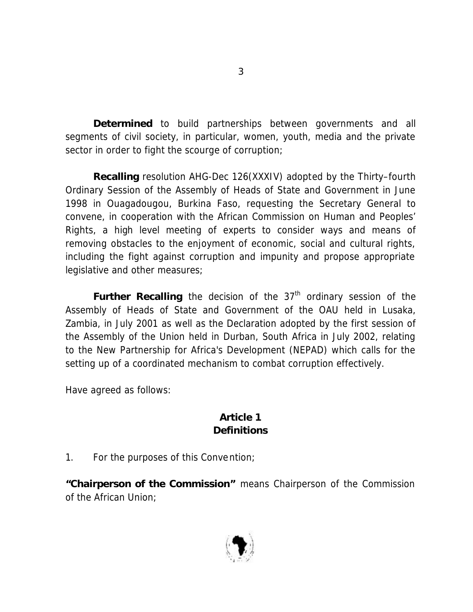**Determined** to build partnerships between governments and all segments of civil society, in particular, women, youth, media and the private sector in order to fight the scourge of corruption;

**Recalling** resolution AHG-Dec 126(XXXIV) adopted by the Thirty–fourth Ordinary Session of the Assembly of Heads of State and Government in June 1998 in Ouagadougou, Burkina Faso, requesting the Secretary General to convene, in cooperation with the African Commission on Human and Peoples' Rights, a high level meeting of experts to consider ways and means of removing obstacles to the enjoyment of economic, social and cultural rights, including the fight against corruption and impunity and propose appropriate legislative and other measures;

**Further Recalling** the decision of the 37<sup>th</sup> ordinary session of the Assembly of Heads of State and Government of the OAU held in Lusaka, Zambia, in July 2001 as well as the Declaration adopted by the first session of the Assembly of the Union held in Durban, South Africa in July 2002, relating to the New Partnership for Africa's Development (NEPAD) which calls for the setting up of a coordinated mechanism to combat corruption effectively.

Have agreed as follows:

### **Article 1 Definitions**

1. For the purposes of this Convention;

**"Chairperson of the Commission"** means Chairperson of the Commission of the African Union;

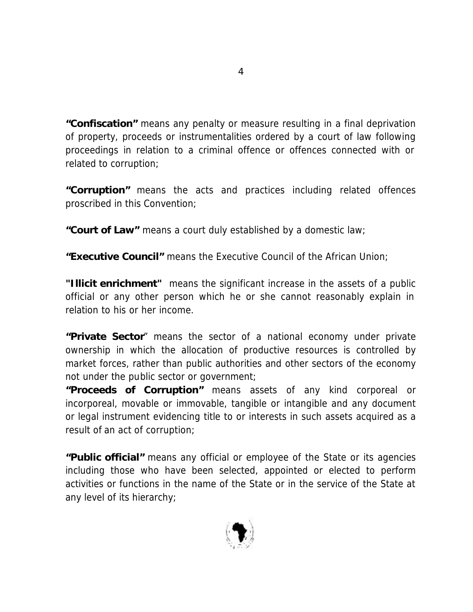**"Confiscation"** means any penalty or measure resulting in a final deprivation of property, proceeds or instrumentalities ordered by a court of law following proceedings in relation to a criminal offence or offences connected with or related to corruption;

**"Corruption"** means the acts and practices including related offences proscribed in this Convention;

**"Court of Law"** means a court duly established by a domestic law;

**"Executive Council"** means the Executive Council of the African Union;

**"Illicit enrichment"** means the significant increase in the assets of a public official or any other person which he or she cannot reasonably explain in relation to his or her income.

**"Private Sector**" means the sector of a national economy under private ownership in which the allocation of productive resources is controlled by market forces, rather than public authorities and other sectors of the economy not under the public sector or government;

**"Proceeds of Corruption"** means assets of any kind corporeal or incorporeal, movable or immovable, tangible or intangible and any document or legal instrument evidencing title to or interests in such assets acquired as a result of an act of corruption;

**"Public official"** means any official or employee of the State or its agencies including those who have been selected, appointed or elected to perform activities or functions in the name of the State or in the service of the State at any level of its hierarchy;

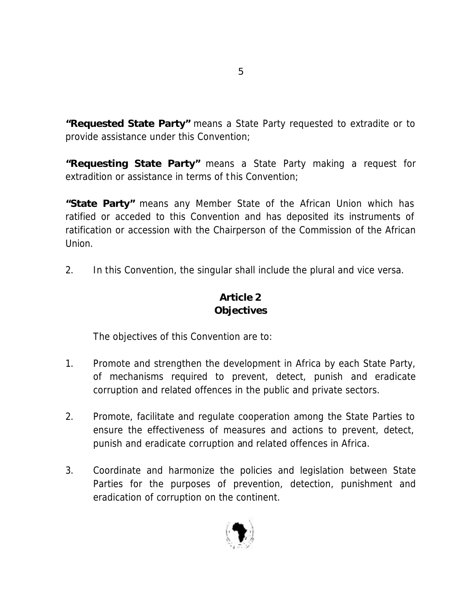**"Requested State Party"** means a State Party requested to extradite or to provide assistance under this Convention;

**"Requesting State Party"** means a State Party making a request for extradition or assistance in terms of this Convention;

**"State Party"** means any Member State of the African Union which has ratified or acceded to this Convention and has deposited its instruments of ratification or accession with the Chairperson of the Commission of the African Union.

2. In this Convention, the singular shall include the plural and vice versa.

# **Article 2 Objectives**

The objectives of this Convention are to:

- 1. Promote and strengthen the development in Africa by each State Party, of mechanisms required to prevent, detect, punish and eradicate corruption and related offences in the public and private sectors.
- 2. Promote, facilitate and regulate cooperation among the State Parties to ensure the effectiveness of measures and actions to prevent, detect, punish and eradicate corruption and related offences in Africa.
- 3. Coordinate and harmonize the policies and legislation between State Parties for the purposes of prevention, detection, punishment and eradication of corruption on the continent.

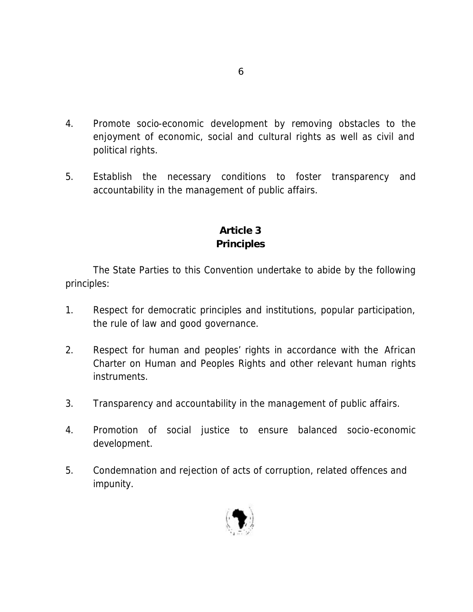- 4. Promote socio-economic development by removing obstacles to the enjoyment of economic, social and cultural rights as well as civil and political rights.
- 5. Establish the necessary conditions to foster transparency and accountability in the management of public affairs.

# **Article 3 Principles**

The State Parties to this Convention undertake to abide by the following principles:

- 1. Respect for democratic principles and institutions, popular participation, the rule of law and good governance.
- 2. Respect for human and peoples' rights in accordance with the African Charter on Human and Peoples Rights and other relevant human rights instruments.
- 3. Transparency and accountability in the management of public affairs.
- 4. Promotion of social justice to ensure balanced socio-economic development.
- 5. Condemnation and rejection of acts of corruption, related offences and impunity.

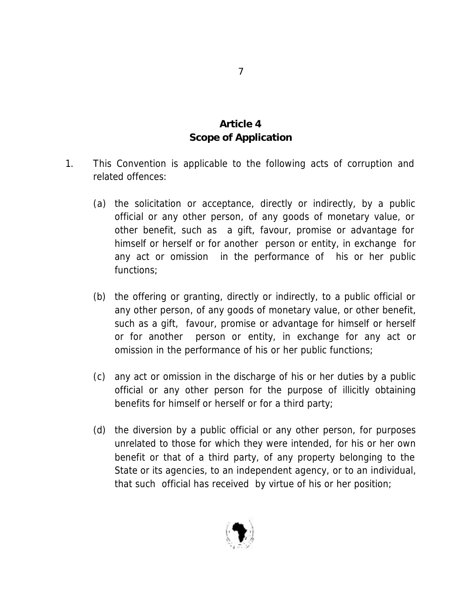### **Article 4 Scope of Application**

- 1. This Convention is applicable to the following acts of corruption and related offences:
	- (a) the solicitation or acceptance, directly or indirectly, by a public official or any other person, of any goods of monetary value, or other benefit, such as a gift, favour, promise or advantage for himself or herself or for another person or entity, in exchange for any act or omission in the performance of his or her public functions;
	- (b) the offering or granting, directly or indirectly, to a public official or any other person, of any goods of monetary value, or other benefit, such as a gift, favour, promise or advantage for himself or herself or for another person or entity, in exchange for any act or omission in the performance of his or her public functions;
	- (c) any act or omission in the discharge of his or her duties by a public official or any other person for the purpose of illicitly obtaining benefits for himself or herself or for a third party;
	- (d) the diversion by a public official or any other person, for purposes unrelated to those for which they were intended, for his or her own benefit or that of a third party, of any property belonging to the State or its agencies, to an independent agency, or to an individual, that such official has received by virtue of his or her position;

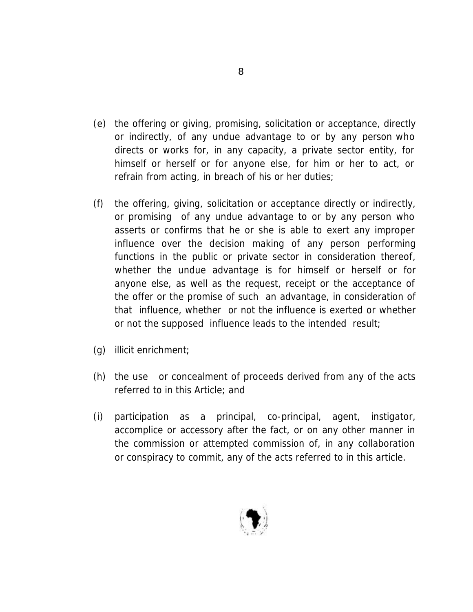- (e) the offering or giving, promising, solicitation or acceptance, directly or indirectly, of any undue advantage to or by any person who directs or works for, in any capacity, a private sector entity, for himself or herself or for anyone else, for him or her to act, or refrain from acting, in breach of his or her duties;
- (f) the offering, giving, solicitation or acceptance directly or indirectly, or promising of any undue advantage to or by any person who asserts or confirms that he or she is able to exert any improper influence over the decision making of any person performing functions in the public or private sector in consideration thereof, whether the undue advantage is for himself or herself or for anyone else, as well as the request, receipt or the acceptance of the offer or the promise of such an advantage, in consideration of that influence, whether or not the influence is exerted or whether or not the supposed influence leads to the intended result;
- (g) illicit enrichment;
- (h) the use or concealment of proceeds derived from any of the acts referred to in this Article; and
- (i) participation as a principal, co-principal, agent, instigator, accomplice or accessory after the fact, or on any other manner in the commission or attempted commission of, in any collaboration or conspiracy to commit, any of the acts referred to in this article.

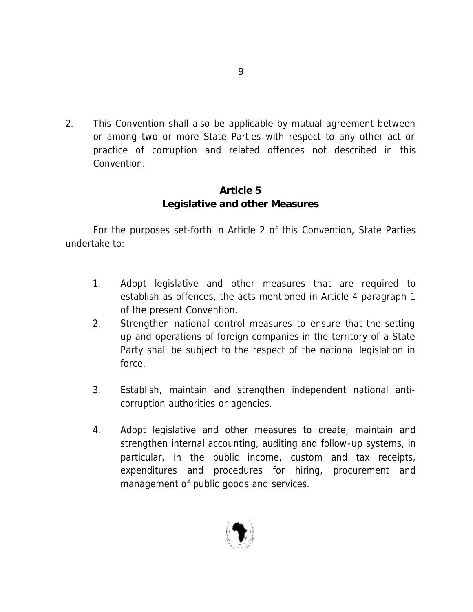2. This Convention shall also be applicable by mutual agreement between or among two or more State Parties with respect to any other act or practice of corruption and related offences not described in this Convention.

### **Article 5 Legislative and other Measures**

For the purposes set-forth in Article 2 of this Convention, State Parties undertake to:

- 1. Adopt legislative and other measures that are required to establish as offences, the acts mentioned in Article 4 paragraph 1 of the present Convention.
- 2. Strengthen national control measures to ensure that the setting up and operations of foreign companies in the territory of a State Party shall be subject to the respect of the national legislation in force.
- 3. Establish, maintain and strengthen independent national anticorruption authorities or agencies.
- 4. Adopt legislative and other measures to create, maintain and strengthen internal accounting, auditing and follow-up systems, in particular, in the public income, custom and tax receipts, expenditures and procedures for hiring, procurement and management of public goods and services.

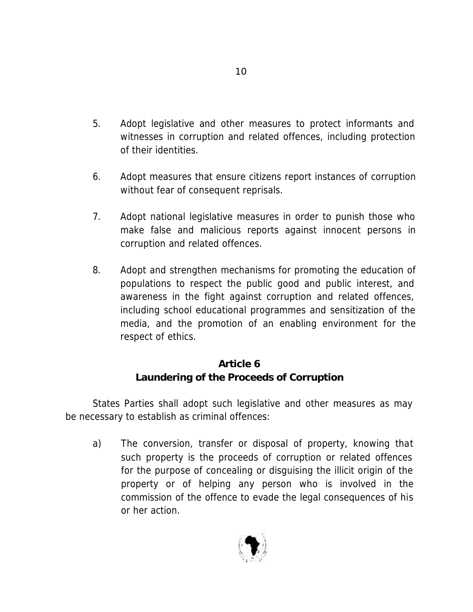- 5. Adopt legislative and other measures to protect informants and witnesses in corruption and related offences, including protection of their identities.
- 6. Adopt measures that ensure citizens report instances of corruption without fear of consequent reprisals.
- 7. Adopt national legislative measures in order to punish those who make false and malicious reports against innocent persons in corruption and related offences.
- 8. Adopt and strengthen mechanisms for promoting the education of populations to respect the public good and public interest, and awareness in the fight against corruption and related offences, including school educational programmes and sensitization of the media, and the promotion of an enabling environment for the respect of ethics.

# **Article 6 Laundering of the Proceeds of Corruption**

States Parties shall adopt such legislative and other measures as may be necessary to establish as criminal offences:

a) The conversion, transfer or disposal of property, knowing that such property is the proceeds of corruption or related offences for the purpose of concealing or disguising the illicit origin of the property or of helping any person who is involved in the commission of the offence to evade the legal consequences of his or her action.

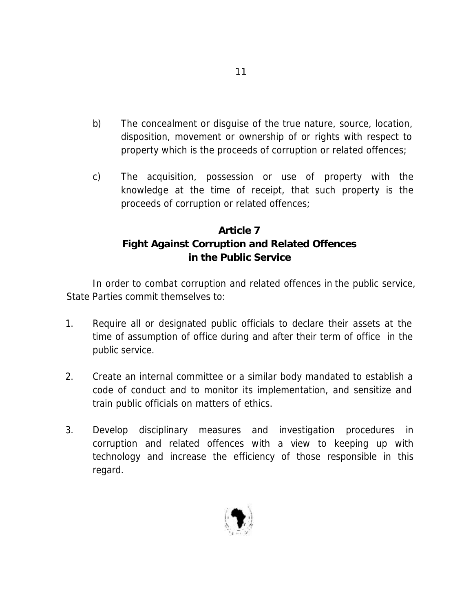- b) The concealment or disguise of the true nature, source, location, disposition, movement or ownership of or rights with respect to property which is the proceeds of corruption or related offences;
- c) The acquisition, possession or use of property with the knowledge at the time of receipt, that such property is the proceeds of corruption or related offences;

# **Article 7 Fight Against Corruption and Related Offences in the Public Service**

In order to combat corruption and related offences in the public service, State Parties commit themselves to:

- 1. Require all or designated public officials to declare their assets at the time of assumption of office during and after their term of office in the public service.
- 2. Create an internal committee or a similar body mandated to establish a code of conduct and to monitor its implementation, and sensitize and train public officials on matters of ethics.
- 3. Develop disciplinary measures and investigation procedures in corruption and related offences with a view to keeping up with technology and increase the efficiency of those responsible in this regard.

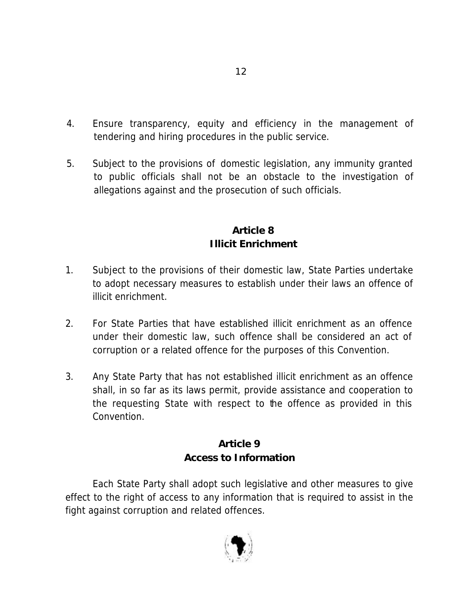- 4. Ensure transparency, equity and efficiency in the management of tendering and hiring procedures in the public service.
- 5. Subject to the provisions of domestic legislation, any immunity granted to public officials shall not be an obstacle to the investigation of allegations against and the prosecution of such officials.

### **Article 8 Illicit Enrichment**

- 1. Subject to the provisions of their domestic law, State Parties undertake to adopt necessary measures to establish under their laws an offence of illicit enrichment.
- 2. For State Parties that have established illicit enrichment as an offence under their domestic law, such offence shall be considered an act of corruption or a related offence for the purposes of this Convention.
- 3. Any State Party that has not established illicit enrichment as an offence shall, in so far as its laws permit, provide assistance and cooperation to the requesting State with respect to the offence as provided in this Convention.

# **Article 9 Access to Information**

Each State Party shall adopt such legislative and other measures to give effect to the right of access to any information that is required to assist in the fight against corruption and related offences.

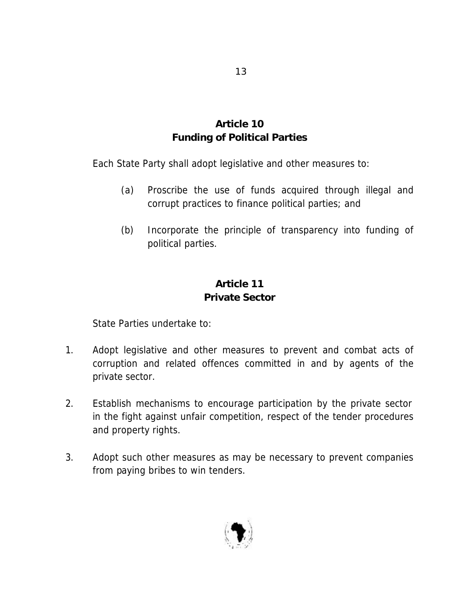# **Article 10 Funding of Political Parties**

Each State Party shall adopt legislative and other measures to:

- (a) Proscribe the use of funds acquired through illegal and corrupt practices to finance political parties; and
- (b) Incorporate the principle of transparency into funding of political parties.

# **Article 11 Private Sector**

State Parties undertake to:

- 1. Adopt legislative and other measures to prevent and combat acts of corruption and related offences committed in and by agents of the private sector.
- 2. Establish mechanisms to encourage participation by the private sector in the fight against unfair competition, respect of the tender procedures and property rights.
- 3. Adopt such other measures as may be necessary to prevent companies from paying bribes to win tenders.

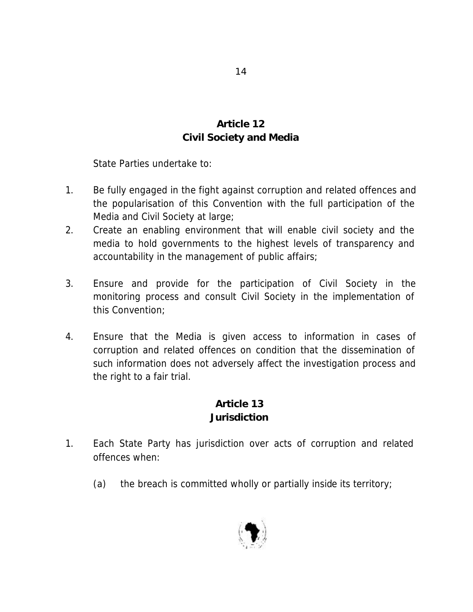# **Article 12 Civil Society and Media**

State Parties undertake to:

- 1. Be fully engaged in the fight against corruption and related offences and the popularisation of this Convention with the full participation of the Media and Civil Society at large;
- 2. Create an enabling environment that will enable civil society and the media to hold governments to the highest levels of transparency and accountability in the management of public affairs;
- 3. Ensure and provide for the participation of Civil Society in the monitoring process and consult Civil Society in the implementation of this Convention;
- 4. Ensure that the Media is given access to information in cases of corruption and related offences on condition that the dissemination of such information does not adversely affect the investigation process and the right to a fair trial.

# **Article 13 Jurisdiction**

- 1. Each State Party has jurisdiction over acts of corruption and related offences when:
	- (a) the breach is committed wholly or partially inside its territory;

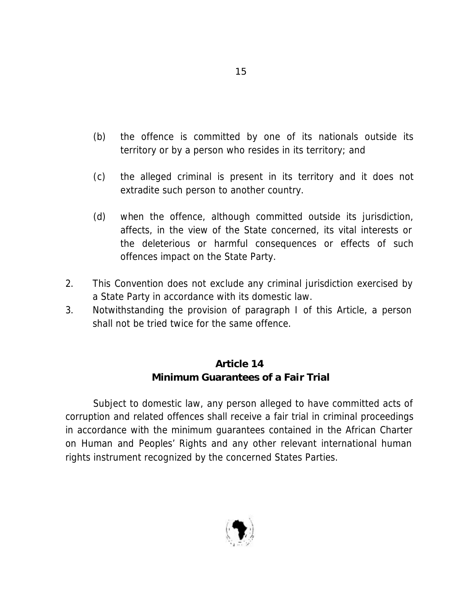- (b) the offence is committed by one of its nationals outside its territory or by a person who resides in its territory; and
- (c) the alleged criminal is present in its territory and it does not extradite such person to another country.
- (d) when the offence, although committed outside its jurisdiction, affects, in the view of the State concerned, its vital interests or the deleterious or harmful consequences or effects of such offences impact on the State Party.
- 2. This Convention does not exclude any criminal jurisdiction exercised by a State Party in accordance with its domestic law.
- 3. Notwithstanding the provision of paragraph I of this Article, a person shall not be tried twice for the same offence.

# **Article 14 Minimum Guarantees of a Fair Trial**

Subject to domestic law, any person alleged to have committed acts of corruption and related offences shall receive a fair trial in criminal proceedings in accordance with the minimum guarantees contained in the African Charter on Human and Peoples' Rights and any other relevant international human rights instrument recognized by the concerned States Parties.

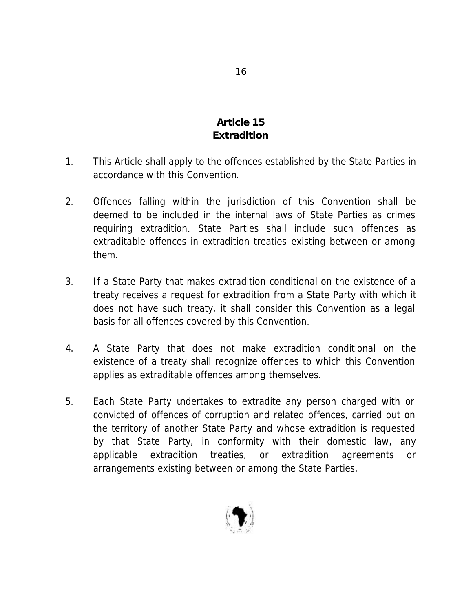# **Article 15 Extradition**

- 1. This Article shall apply to the offences established by the State Parties in accordance with this Convention.
- 2. Offences falling within the jurisdiction of this Convention shall be deemed to be included in the internal laws of State Parties as crimes requiring extradition. State Parties shall include such offences as extraditable offences in extradition treaties existing between or among them.
- 3. If a State Party that makes extradition conditional on the existence of a treaty receives a request for extradition from a State Party with which it does not have such treaty, it shall consider this Convention as a legal basis for all offences covered by this Convention.
- 4. A State Party that does not make extradition conditional on the existence of a treaty shall recognize offences to which this Convention applies as extraditable offences among themselves.
- 5. Each State Party undertakes to extradite any person charged with or convicted of offences of corruption and related offences, carried out on the territory of another State Party and whose extradition is requested by that State Party, in conformity with their domestic law, any applicable extradition treaties, or extradition agreements or arrangements existing between or among the State Parties.

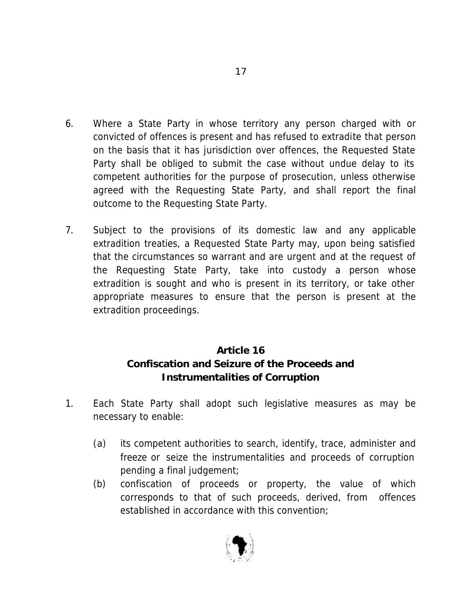- 6. Where a State Party in whose territory any person charged with or convicted of offences is present and has refused to extradite that person on the basis that it has jurisdiction over offences, the Requested State Party shall be obliged to submit the case without undue delay to its competent authorities for the purpose of prosecution, unless otherwise agreed with the Requesting State Party, and shall report the final outcome to the Requesting State Party.
- 7. Subject to the provisions of its domestic law and any applicable extradition treaties, a Requested State Party may, upon being satisfied that the circumstances so warrant and are urgent and at the request of the Requesting State Party, take into custody a person whose extradition is sought and who is present in its territory, or take other appropriate measures to ensure that the person is present at the extradition proceedings.

# **Article 16 Confiscation and Seizure of the Proceeds and Instrumentalities of Corruption**

- 1. Each State Party shall adopt such legislative measures as may be necessary to enable:
	- (a) its competent authorities to search, identify, trace, administer and freeze or seize the instrumentalities and proceeds of corruption pending a final judgement;
	- (b) confiscation of proceeds or property, the value of which corresponds to that of such proceeds, derived, from offences established in accordance with this convention;

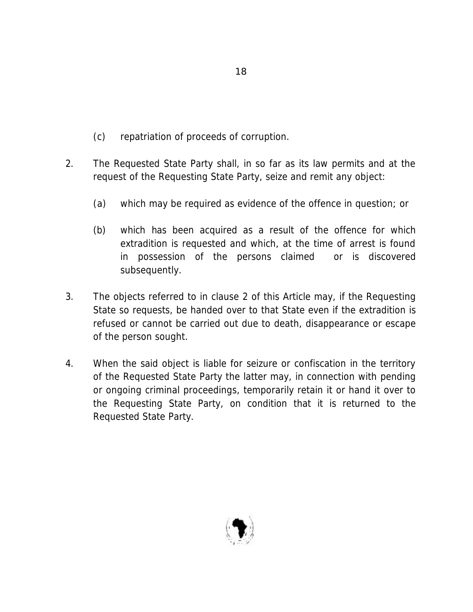- (c) repatriation of proceeds of corruption.
- 2. The Requested State Party shall, in so far as its law permits and at the request of the Requesting State Party, seize and remit any object:
	- (a) which may be required as evidence of the offence in question; or
	- (b) which has been acquired as a result of the offence for which extradition is requested and which, at the time of arrest is found in possession of the persons claimed or is discovered subsequently.
- 3. The objects referred to in clause 2 of this Article may, if the Requesting State so requests, be handed over to that State even if the extradition is refused or cannot be carried out due to death, disappearance or escape of the person sought.
- 4. When the said object is liable for seizure or confiscation in the territory of the Requested State Party the latter may, in connection with pending or ongoing criminal proceedings, temporarily retain it or hand it over to the Requesting State Party, on condition that it is returned to the Requested State Party.

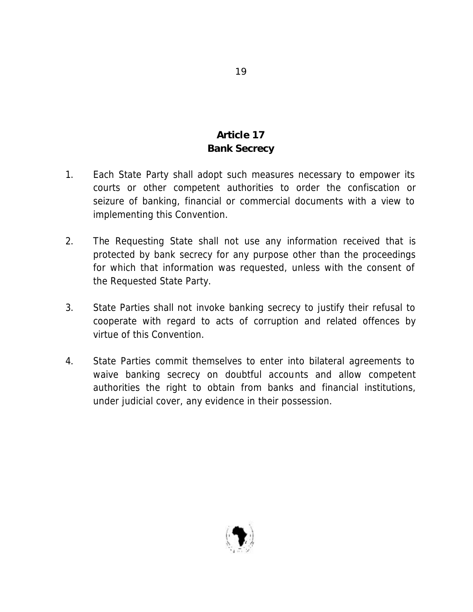# **Article 17 Bank Secrecy**

- 1. Each State Party shall adopt such measures necessary to empower its courts or other competent authorities to order the confiscation or seizure of banking, financial or commercial documents with a view to implementing this Convention.
- 2. The Requesting State shall not use any information received that is protected by bank secrecy for any purpose other than the proceedings for which that information was requested, unless with the consent of the Requested State Party.
- 3. State Parties shall not invoke banking secrecy to justify their refusal to cooperate with regard to acts of corruption and related offences by virtue of this Convention.
- 4. State Parties commit themselves to enter into bilateral agreements to waive banking secrecy on doubtful accounts and allow competent authorities the right to obtain from banks and financial institutions, under judicial cover, any evidence in their possession.

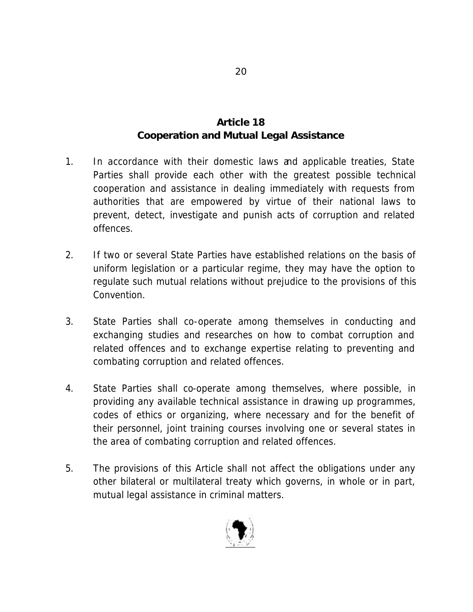# **Article 18 Cooperation and Mutual Legal Assistance**

- 1. In accordance with their domestic laws and applicable treaties, State Parties shall provide each other with the greatest possible technical cooperation and assistance in dealing immediately with requests from authorities that are empowered by virtue of their national laws to prevent, detect, investigate and punish acts of corruption and related offences.
- 2. If two or several State Parties have established relations on the basis of uniform legislation or a particular regime, they may have the option to regulate such mutual relations without prejudice to the provisions of this Convention.
- 3. State Parties shall co-operate among themselves in conducting and exchanging studies and researches on how to combat corruption and related offences and to exchange expertise relating to preventing and combating corruption and related offences.
- 4. State Parties shall co-operate among themselves, where possible, in providing any available technical assistance in drawing up programmes, codes of ethics or organizing, where necessary and for the benefit of their personnel, joint training courses involving one or several states in the area of combating corruption and related offences.
- 5. The provisions of this Article shall not affect the obligations under any other bilateral or multilateral treaty which governs, in whole or in part, mutual legal assistance in criminal matters.

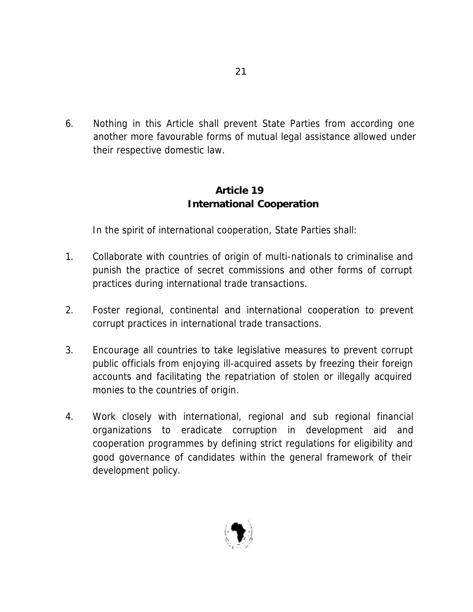6. Nothing in this Article shall prevent State Parties from according one another more favourable forms of mutual legal assistance allowed under their respective domestic law.

### **Article 19 International Cooperation**

In the spirit of international cooperation, State Parties shall:

- 1. Collaborate with countries of origin of multi-nationals to criminalise and punish the practice of secret commissions and other forms of corrupt practices during international trade transactions.
- 2. Foster regional, continental and international cooperation to prevent corrupt practices in international trade transactions.
- 3. Encourage all countries to take legislative measures to prevent corrupt public officials from enjoying ill-acquired assets by freezing their foreign accounts and facilitating the repatriation of stolen or illegally acquired monies to the countries of origin.
- 4. Work closely with international, regional and sub regional financial organizations to eradicate corruption in development aid and cooperation programmes by defining strict regulations for eligibility and good governance of candidates within the general framework of their development policy.

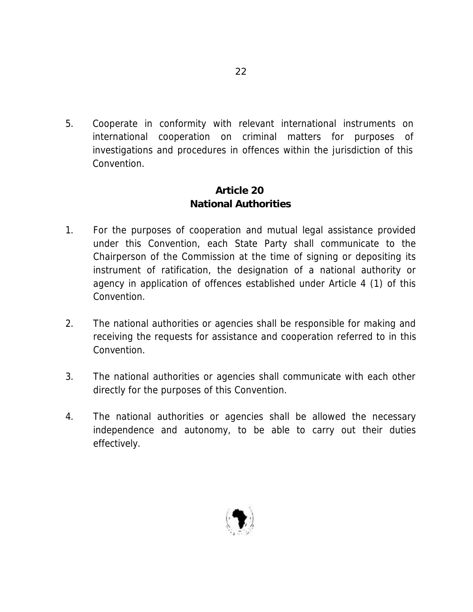5. Cooperate in conformity with relevant international instruments on international cooperation on criminal matters for purposes of investigations and procedures in offences within the jurisdiction of this Convention.

### **Article 20 National Authorities**

- 1. For the purposes of cooperation and mutual legal assistance provided under this Convention, each State Party shall communicate to the Chairperson of the Commission at the time of signing or depositing its instrument of ratification, the designation of a national authority or agency in application of offences established under Article 4 (1) of this Convention.
- 2. The national authorities or agencies shall be responsible for making and receiving the requests for assistance and cooperation referred to in this Convention.
- 3. The national authorities or agencies shall communicate with each other directly for the purposes of this Convention.
- 4. The national authorities or agencies shall be allowed the necessary independence and autonomy, to be able to carry out their duties effectively.

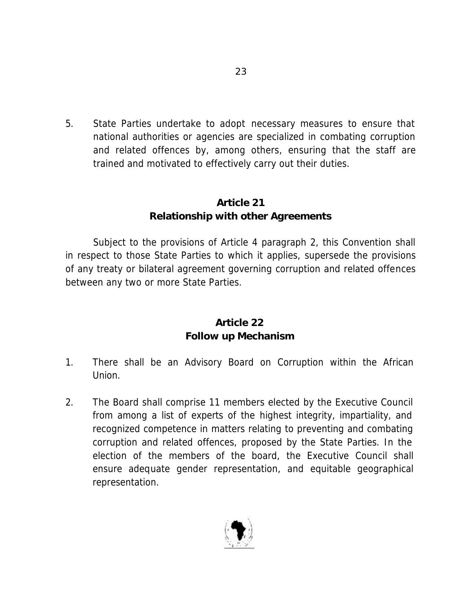5. State Parties undertake to adopt necessary measures to ensure that national authorities or agencies are specialized in combating corruption and related offences by, among others, ensuring that the staff are trained and motivated to effectively carry out their duties.

### **Article 21 Relationship with other Agreements**

Subject to the provisions of Article 4 paragraph 2, this Convention shall in respect to those State Parties to which it applies, supersede the provisions of any treaty or bilateral agreement governing corruption and related offences between any two or more State Parties.

### **Article 22 Follow up Mechanism**

- 1. There shall be an Advisory Board on Corruption within the African Union.
- 2. The Board shall comprise 11 members elected by the Executive Council from among a list of experts of the highest integrity, impartiality, and recognized competence in matters relating to preventing and combating corruption and related offences, proposed by the State Parties. In the election of the members of the board, the Executive Council shall ensure adequate gender representation, and equitable geographical representation.

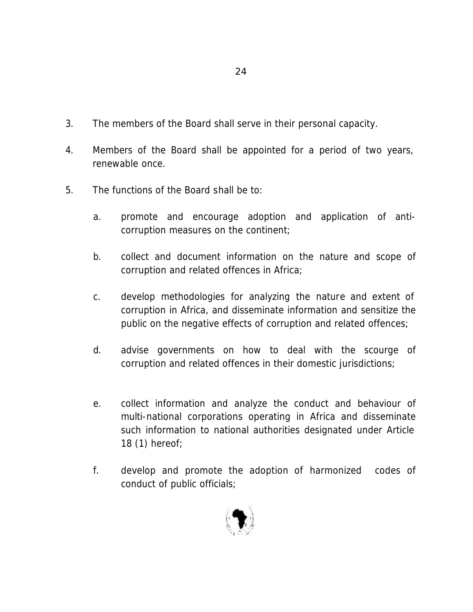- 3. The members of the Board shall serve in their personal capacity.
- 4. Members of the Board shall be appointed for a period of two years, renewable once.
- 5. The functions of the Board shall be to:
	- a. promote and encourage adoption and application of anticorruption measures on the continent;
	- b. collect and document information on the nature and scope of corruption and related offences in Africa;
	- c. develop methodologies for analyzing the nature and extent of corruption in Africa, and disseminate information and sensitize the public on the negative effects of corruption and related offences;
	- d. advise governments on how to deal with the scourge of corruption and related offences in their domestic jurisdictions;
	- e. collect information and analyze the conduct and behaviour of multi-national corporations operating in Africa and disseminate such information to national authorities designated under Article 18 (1) hereof;
	- f. develop and promote the adoption of harmonized codes of conduct of public officials;

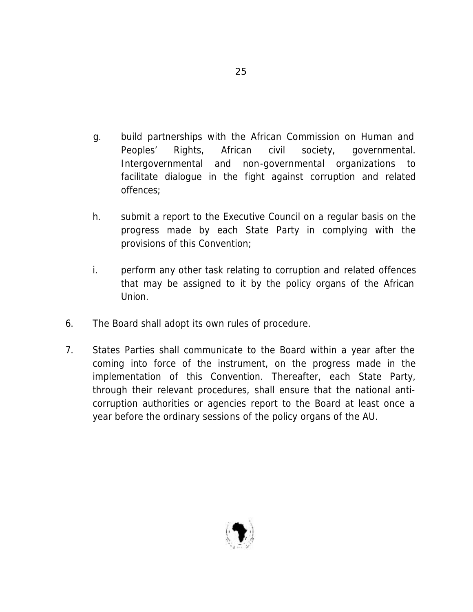- g. build partnerships with the African Commission on Human and Peoples' Rights, African civil society, governmental. Intergovernmental and non-governmental organizations to facilitate dialogue in the fight against corruption and related offences;
- h. submit a report to the Executive Council on a regular basis on the progress made by each State Party in complying with the provisions of this Convention;
- i. perform any other task relating to corruption and related offences that may be assigned to it by the policy organs of the African Union.
- 6. The Board shall adopt its own rules of procedure.
- 7. States Parties shall communicate to the Board within a year after the coming into force of the instrument, on the progress made in the implementation of this Convention. Thereafter, each State Party, through their relevant procedures, shall ensure that the national anticorruption authorities or agencies report to the Board at least once a year before the ordinary sessions of the policy organs of the AU.

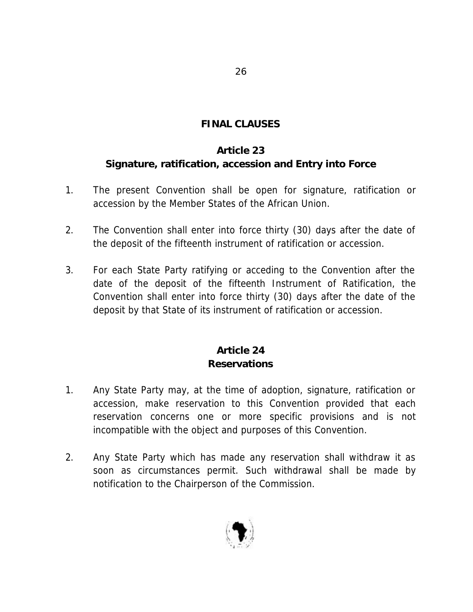### **FINAL CLAUSES**

### **Article 23**

# **Signature, ratification, accession and Entry into Force**

- 1. The present Convention shall be open for signature, ratification or accession by the Member States of the African Union.
- 2. The Convention shall enter into force thirty (30) days after the date of the deposit of the fifteenth instrument of ratification or accession.
- 3. For each State Party ratifying or acceding to the Convention after the date of the deposit of the fifteenth Instrument of Ratification, the Convention shall enter into force thirty (30) days after the date of the deposit by that State of its instrument of ratification or accession.

# **Article 24 Reservations**

- 1. Any State Party may, at the time of adoption, signature, ratification or accession, make reservation to this Convention provided that each reservation concerns one or more specific provisions and is not incompatible with the object and purposes of this Convention.
- 2. Any State Party which has made any reservation shall withdraw it as soon as circumstances permit. Such withdrawal shall be made by notification to the Chairperson of the Commission.

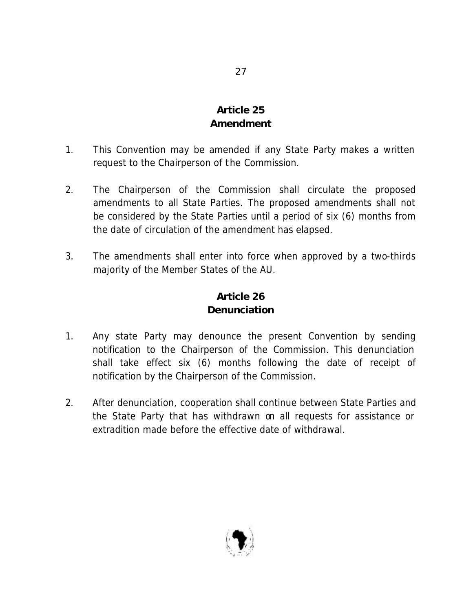# **Article 25 Amendment**

- 1. This Convention may be amended if any State Party makes a written request to the Chairperson of the Commission.
- 2. The Chairperson of the Commission shall circulate the proposed amendments to all State Parties. The proposed amendments shall not be considered by the State Parties until a period of six (6) months from the date of circulation of the amendment has elapsed.
- 3. The amendments shall enter into force when approved by a two-thirds majority of the Member States of the AU.

# **Article 26 Denunciation**

- 1. Any state Party may denounce the present Convention by sending notification to the Chairperson of the Commission. This denunciation shall take effect six (6) months following the date of receipt of notification by the Chairperson of the Commission.
- 2. After denunciation, cooperation shall continue between State Parties and the State Party that has withdrawn on all requests for assistance or extradition made before the effective date of withdrawal.